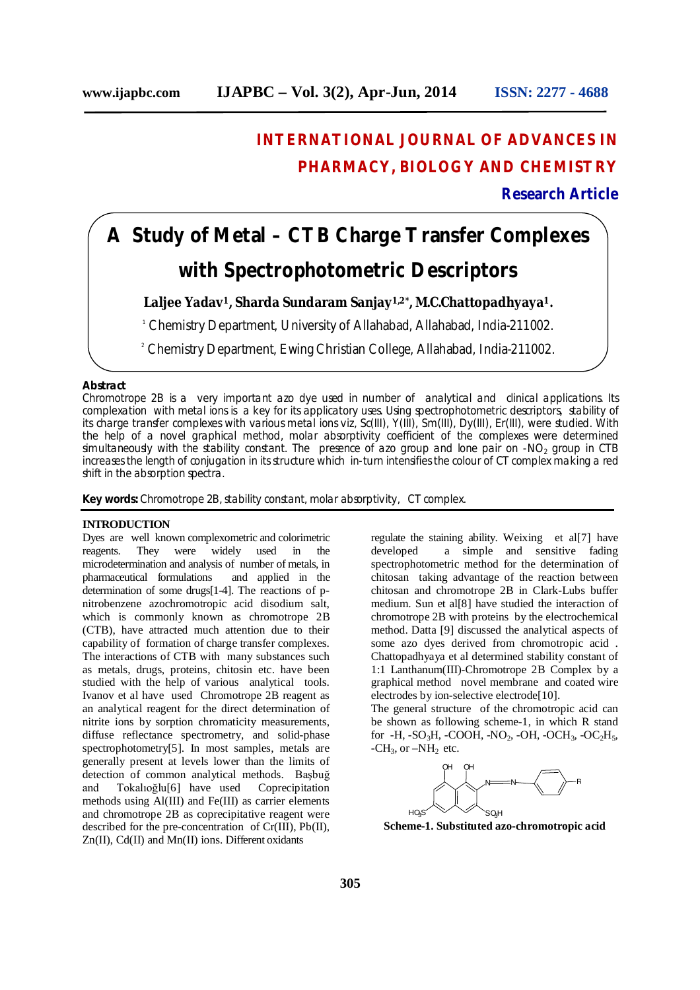# **INTERNATIONAL JOURNAL OF ADVANCES IN PHARMACY, BIOLOGY AND CHEMISTRY**

**Research Article**

# **A Study of Metal – CTB Charge Transfer Complexes with Spectrophotometric Descriptors**

**Laljee Yadav1, Sharda Sundaram Sanjay1,2\*, M.C.Chattopadhyaya1.**

<sup>1</sup> Chemistry Department, University of Allahabad, Allahabad, India-211002.

<sup>2</sup> Chemistry Department, Ewing Christian College, Allahabad, India-211002.

# **Abstract**

Chromotrope 2B is a very important azo dye used in number of analytical and clinical applications. Its complexation with metal ions is a key for its applicatory uses. Using spectrophotometric descriptors, stability of its charge transfer complexes with various metal ions viz, Sc(III), Y(III), Sm(III), Dy(III), Er(III), were studied. With the help of a novel graphical method, molar absorptivity coefficient of the complexes were determined simultaneously with the stability constant. The presence of azo group and lone pair on  $-NO<sub>2</sub>$  group in CTB increases the length of conjugation in its structure which in-turn intensifies the colour of CT complex making a red shift in the absorption spectra.

**Key words:** Chromotrope 2B, stability constant, molar absorptivity, CT complex.

# **INTRODUCTION**

Dyes are well known complexometric and colorimetric reagents. They were widely used in the microdetermination and analysis of number of metals, in pharmaceutical formulations and applied in the determination of some drugs[1-4]. The reactions of pnitrobenzene azochromotropic acid disodium salt, which is commonly known as chromotrope 2B (CTB), have attracted much attention due to their capability of formation of charge transfer complexes. The interactions of CTB with many substances such as metals, drugs, proteins, chitosin etc. have been studied with the help of various analytical tools. Ivanov et al have used Chromotrope 2B reagent as an analytical reagent for the direct determination of nitrite ions by sorption chromaticity measurements, diffuse reflectance spectrometry, and solid-phase spectrophotometry[5]. In most samples, metals are generally present at levels lower than the limits of detection of common analytical methods. Başbuğ and Tokalıoğlu[6] have used Coprecipitation methods using Al(III) and Fe(III) as carrier elements and chromotrope 2B as coprecipitative reagent were described for the pre-concentration of Cr(III), Pb(II), Zn(II), Cd(II) and Mn(II) ions. Different oxidants

regulate the staining ability. Weixing et al[7] have developed a simple and sensitive fading spectrophotometric method for the determination of chitosan taking advantage of the reaction between chitosan and chromotrope 2B in Clark-Lubs buffer medium. Sun et al[8] have studied the interaction of chromotrope 2B with proteins by the electrochemical method. Datta [9] discussed the analytical aspects of some azo dyes derived from chromotropic acid . Chattopadhyaya et al determined stability constant of 1:1 Lanthanum(III)-Chromotrope 2B Complex by a graphical method novel membrane and coated wire electrodes by ion-selective electrode[10].

The general structure of the chromotropic acid can be shown as following scheme-1, in which R stand for -H, -SO<sub>3</sub>H, -COOH, -NO<sub>2</sub>, -OH, -OCH<sub>3</sub>, -OC<sub>2</sub>H<sub>5</sub>,  $-CH_3$ , or  $-NH_2$  etc.



**Scheme-1. Substituted azo-chromotropic acid**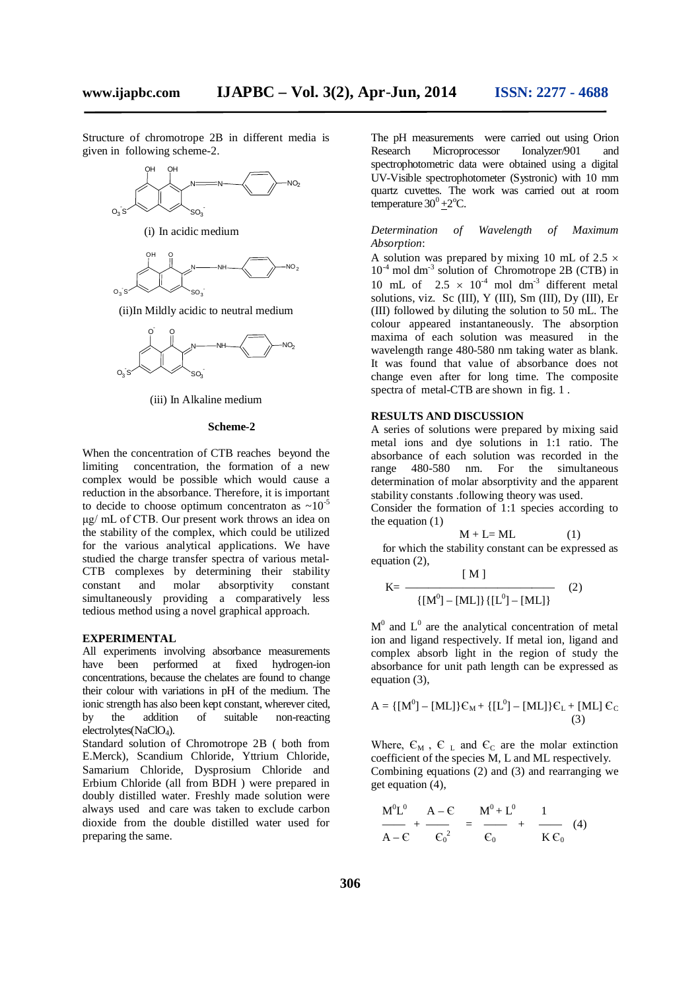Structure of chromotrope 2B in different media is given in following scheme-2.



(i) In acidic medium



(ii)In Mildly acidic to neutral medium



(iii) In Alkaline medium

#### **Scheme-2**

When the concentration of CTB reaches beyond the limiting concentration, the formation of a new complex would be possible which would cause a reduction in the absorbance. Therefore, it is important to decide to choose optimum concentraton as  $\sim 10^{-5}$ μg/ mL of CTB. Our present work throws an idea on the stability of the complex, which could be utilized for the various analytical applications. We have studied the charge transfer spectra of various metal-CTB complexes by determining their stability constant and molar absorptivity constant simultaneously providing a comparatively less tedious method using a novel graphical approach.

#### **EXPERIMENTAL**

All experiments involving absorbance measurements have been performed at fixed hydrogen-ion concentrations, because the chelates are found to change their colour with variations in pH of the medium. The ionic strength has also been kept constant, wherever cited,<br>by the addition of suitable non-reacting by the addition of suitable non-reacting electrolytes(NaClO<sub>4</sub>).

Standard solution of Chromotrope 2B ( both from E.Merck), Scandium Chloride, Yttrium Chloride, Samarium Chloride, Dysprosium Chloride and Erbium Chloride (all from BDH ) were prepared in doubly distilled water. Freshly made solution were always used and care was taken to exclude carbon dioxide from the double distilled water used for preparing the same.

The pH measurements were carried out using Orion Research Microprocessor Ionalyzer/901 and spectrophotometric data were obtained using a digital UV-Visible spectrophotometer (Systronic) with 10 mm quartz cuvettes. The work was carried out at room temperature  $30^0 + 2^{\circ}$ C.

*Determination of Wavelength of Maximum Absorption*:

A solution was prepared by mixing 10 mL of 2.5  $\times$ 10<sup>-4</sup> mol dm<sup>-3</sup> solution of Chromotrope 2B (CTB) in 10 mL of  $2.5 \times 10^{-4}$  mol dm<sup>-3</sup> different metal solutions, viz. Sc (III), Y (III), Sm (III), Dy (III), Er (III) followed by diluting the solution to 50 mL. The colour appeared instantaneously. The absorption maxima of each solution was measured in the wavelength range 480-580 nm taking water as blank. It was found that value of absorbance does not change even after for long time. The composite spectra of metal-CTB are shown in fig. 1 .

#### **RESULTS AND DISCUSSION**

A series of solutions were prepared by mixing said metal ions and dye solutions in 1:1 ratio. The absorbance of each solution was recorded in the range 480-580 nm. For the simultaneous determination of molar absorptivity and the apparent stability constants .following theory was used. Consider the formation of 1:1 species according to

the equation  $(1)$ 

$$
M + L = ML \tag{1}
$$

 for which the stability constant can be expressed as equation (2),  $[ M ]$ 

$$
K = \frac{[M]}{[M^{0}] - [ML] \{[L^{0}] - [ML]\}} \tag{2}
$$

 $M<sup>0</sup>$  and  $L<sup>0</sup>$  are the analytical concentration of metal ion and ligand respectively. If metal ion, ligand and complex absorb light in the region of study the absorbance for unit path length can be expressed as equation (3),

$$
A = \{ [M0] - [ML] \} \mathcal{E}_M + \{ [L0] - [ML] \} \mathcal{E}_L + [ML] \mathcal{E}_C
$$
\n(3)

Where,  $\epsilon_{\text{M}}$ ,  $\epsilon_{\text{L}}$  and  $\epsilon_{\text{C}}$  are the molar extinction coefficient of the species M, L and ML respectively. Combining equations (2) and (3) and rearranging we get equation (4),

$$
\frac{M^{0}L^{0}}{A - \varepsilon} + \frac{A - \varepsilon}{\varepsilon_{0}^{2}} = \frac{M^{0} + L^{0}}{\varepsilon_{0}} + \frac{1}{K \varepsilon_{0}} \quad (4)
$$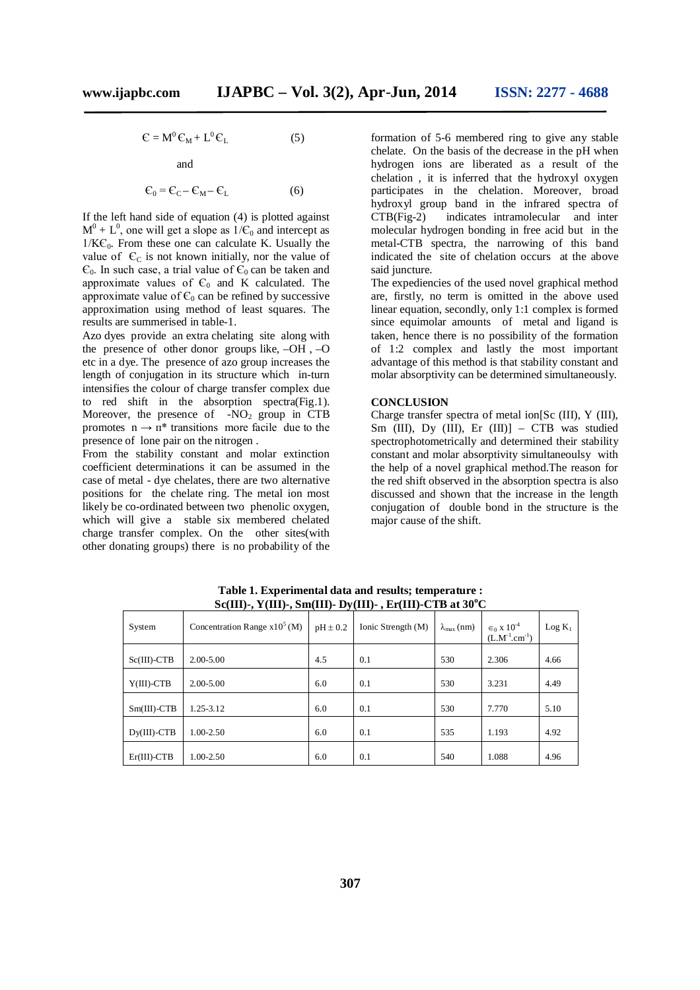$$
\mathbf{C} = \mathbf{M}^0 \mathbf{C}_M + \mathbf{L}^0 \mathbf{C}_L \tag{5}
$$

and

$$
\mathbf{C}_0 = \mathbf{C}_C - \mathbf{C}_M - \mathbf{C}_L \tag{6}
$$

If the left hand side of equation (4) is plotted against  $M^0 + L^0$ , one will get a slope as  $1/C_0$  and intercept as  $1/K\mathcal{C}_0$ . From these one can calculate K. Usually the value of  $\epsilon_c$  is not known initially, nor the value of  $\epsilon_0$ . In such case, a trial value of  $\epsilon_0$  can be taken and approximate values of  $\epsilon_0$  and K calculated. The approximate value of  $\epsilon_0$  can be refined by successive approximation using method of least squares. The results are summerised in table-1.

Azo dyes provide an extra chelating site along with the presence of other donor groups like, –OH , –O etc in a dye. The presence of azo group increases the length of conjugation in its structure which in-turn intensifies the colour of charge transfer complex due to red shift in the absorption spectra(Fig.1). Moreover, the presence of  $-NO<sub>2</sub>$  group in CTB promotes  $n \rightarrow n^*$  transitions more facile due to the presence of lone pair on the nitrogen .

From the stability constant and molar extinction coefficient determinations it can be assumed in the case of metal - dye chelates, there are two alternative positions for the chelate ring. The metal ion most likely be co-ordinated between two phenolic oxygen, which will give a stable six membered chelated charge transfer complex. On the other sites(with other donating groups) there is no probability of the

formation of 5-6 membered ring to give any stable chelate. On the basis of the decrease in the pH when hydrogen ions are liberated as a result of the chelation , it is inferred that the hydroxyl oxygen participates in the chelation. Moreover, broad hydroxyl group band in the infrared spectra of CTB(Fig-2) indicates intramolecular and inter molecular hydrogen bonding in free acid but in the metal-CTB spectra, the narrowing of this band indicated the site of chelation occurs at the above said juncture.

The expediencies of the used novel graphical method are, firstly, no term is omitted in the above used linear equation, secondly, only 1:1 complex is formed since equimolar amounts of metal and ligand is taken, hence there is no possibility of the formation of 1:2 complex and lastly the most important advantage of this method is that stability constant and molar absorptivity can be determined simultaneously.

#### **CONCLUSION**

Charge transfer spectra of metal ion[Sc (III), Y (III), Sm (III), Dy (III), Er (III)] - CTB was studied spectrophotometrically and determined their stability constant and molar absorptivity simultaneoulsy with the help of a novel graphical method.The reason for the red shift observed in the absorption spectra is also discussed and shown that the increase in the length conjugation of double bond in the structure is the major cause of the shift.

| $D_{\nu}(1, 1)$ , $\frac{1}{2}$ , $\frac{1}{2}$ , $\frac{1}{2}$ , $\frac{1}{2}$ , $\frac{1}{2}$ , $\frac{1}{2}$ , $\frac{1}{2}$ , $\frac{1}{2}$ , $\frac{1}{2}$ , $\frac{1}{2}$ , $\frac{1}{2}$ , $\frac{1}{2}$ , $\frac{1}{2}$ , $\frac{1}{2}$ , $\frac{1}{2}$ , $\frac{1}{2}$ , $\frac{1}{2}$ , $\frac{1}{2}$ , $\frac{1}{2}$ |                                 |              |                    |                       |                                                         |           |
|---------------------------------------------------------------------------------------------------------------------------------------------------------------------------------------------------------------------------------------------------------------------------------------------------------------------------------|---------------------------------|--------------|--------------------|-----------------------|---------------------------------------------------------|-----------|
| System                                                                                                                                                                                                                                                                                                                          | Concentration Range $x10^5$ (M) | $pH \pm 0.2$ | Ionic Strength (M) | $\lambda_{\max}$ (nm) | $\epsilon_0$ x 10 <sup>-4</sup><br>$(L.M^{-1}.cm^{-1})$ | $Log K_1$ |
| $Sc(III)$ -CTB                                                                                                                                                                                                                                                                                                                  | $2.00 - 5.00$                   | 4.5          | 0.1                | 530                   | 2.306                                                   | 4.66      |
| $Y(III)$ -CTB                                                                                                                                                                                                                                                                                                                   | $2.00 - 5.00$                   | 6.0          | 0.1                | 530                   | 3.231                                                   | 4.49      |
| $Sm(III)$ -CTB                                                                                                                                                                                                                                                                                                                  | $1.25 - 3.12$                   | 6.0          | 0.1                | 530                   | 7.770                                                   | 5.10      |
| $Dy(III)$ -CTB                                                                                                                                                                                                                                                                                                                  | $1.00 - 2.50$                   | 6.0          | 0.1                | 535                   | 1.193                                                   | 4.92      |
| $Er(III)$ -CTB                                                                                                                                                                                                                                                                                                                  | 1.00-2.50                       | 6.0          | 0.1                | 540                   | 1.088                                                   | 4.96      |

**Table 1. Experimental data and results; temperature : Sc(III)-, Y(III)-, Sm(III)- Dy(III)- , Er(III)-CTB at 30<sup>o</sup>C**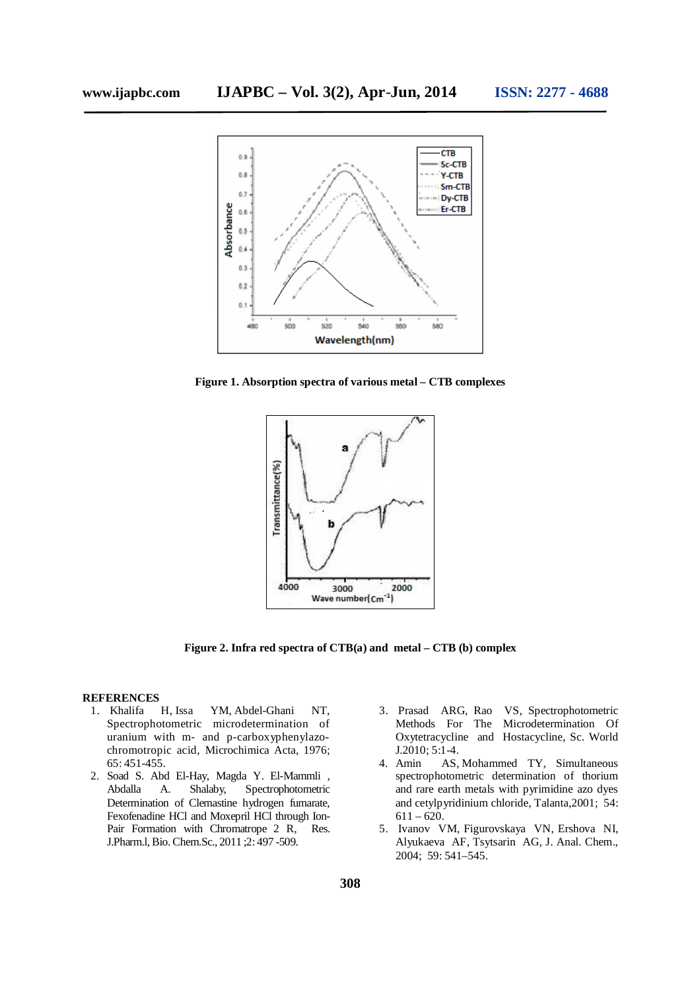

**Figure 1. Absorption spectra of various metal – CTB complexes**



**Figure 2. Infra red spectra of CTB(a) and metal – CTB (b) complex**

### **REFERENCES**

- 1. Khalifa H, Issa YM, Abdel-Ghani NT, Spectrophotometric microdetermination of uranium with m- and p-carboxyphenylazochromotropic acid, Microchimica Acta, 1976; 65: 451-455.
- 2. Soad S. Abd El-Hay, Magda Y. El-Mammli , Abdalla A. Shalaby, Spectrophotometric Determination of Clemastine hydrogen fumarate, Fexofenadine HCl and Moxepril HCl through Ion-Pair Formation with Chromatrope 2 R, Res. J.Pharm.l, Bio. Chem.Sc., 2011 ;2: 497 -509.
- 3. Prasad ARG, Rao VS, Spectrophotometric Methods For The Microdetermination Of Oxytetracycline and Hostacycline, Sc. World J.2010; 5:1-4.
- 4. Amin AS, Mohammed TY, Simultaneous spectrophotometric determination of thorium and rare earth metals with pyrimidine azo dyes and cetylpyridinium chloride, Talanta,2001; 54:  $611 - 620.$
- 5. Ivanov VM, Figurovskaya VN, Ershova NI, Alyukaeva AF, Tsytsarin AG, J. Anal. Chem., 2004; 59: 541–545.